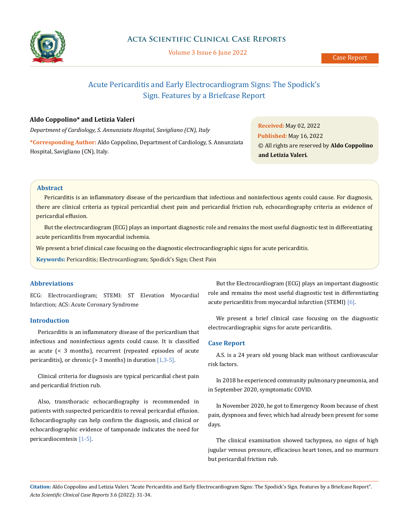

# Acute Pericarditis and Early Electrocardiogram Signs: The Spodick's Sign. Features by a Briefcase Report

# **Aldo Coppolino\* and Letizia Valeri**

*Department of Cardiology, S. Annunziata Hospital, Savigliano (CN), Italy*

**\*Corresponding Author:** Aldo Coppolino, Department of Cardiology, S. Annunziata Hospital, Savigliano (CN), Italy.

**Received:** May 02, 2022 **Published:** May 16, 2022 © All rights are reserved by **Aldo Coppolino and Letizia Valeri***.*

# **Abstract**

Pericarditis is an inflammatory disease of the pericardium that infectious and noninfectious agents could cause. For diagnosis, there are clinical criteria as typical pericardial chest pain and pericardial friction rub, echocardiography criteria as evidence of pericardial effusion.

But the electrocardiogram (ECG) plays an important diagnostic role and remains the most useful diagnostic test in differentiating acute pericarditis from myocardial ischemia.

We present a brief clinical case focusing on the diagnostic electrocardiographic signs for acute pericarditis.

**Keywords:** Pericarditis; Electrocardiogram; Spodick's Sign; Chest Pain

### **Abbreviations**

ECG: Electrocardiogram; STEMI: ST Elevation Myocardial Infarction; ACS: Acute Coronary Syndrome

## **Introduction**

Pericarditis is an inflammatory disease of the pericardium that infectious and noninfectious agents could cause. It is classified as acute (< 3 months), recurrent (repeated episodes of acute pericarditis), or chronic ( $> 3$  months) in duration [1,3-5].

Clinical criteria for diagnosis are typical pericardial chest pain and pericardial friction rub.

Also, transthoracic echocardiography is recommended in patients with suspected pericarditis to reveal pericardial effusion. Echocardiography can help confirm the diagnosis, and clinical or echocardiographic evidence of tamponade indicates the need for pericardiocentesis [1-5].

But the Electrocardiogram (ECG) plays an important diagnostic role and remains the most useful diagnostic test in differentiating acute pericarditis from myocardial infarction (STEMI) [6].

We present a brief clinical case focusing on the diagnostic electrocardiographic signs for acute pericarditis.

#### **Case Report**

A.S. is a 24 years old young black man without cardiovascular risk factors.

In 2018 he experienced community pulmonary pneumonia, and in September 2020, symptomatic COVID.

In November 2020, he got to Emergency Room because of chest pain, dyspnoea and fever, which had already been present for some days.

The clinical examination showed tachypnea, no signs of high jugular venous pressure, efficacious heart tones, and no murmurs but pericardial friction rub.

**Citation:** Aldo Coppolino and Letizia Valeri*.* "Acute Pericarditis and Early Electrocardiogram Signs: The Spodick's Sign. Features by a Briefcase Report". *Acta Scientific Clinical Case Reports* 3.6 (2022): 31-34.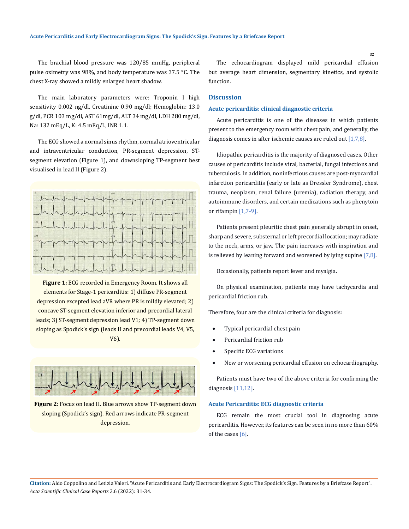The brachial blood pressure was 120/85 mmHg, peripheral pulse oximetry was 98%, and body temperature was 37.5 °C. The chest X-ray showed a mildly enlarged heart shadow.

The main laboratory parameters were: Troponin I high sensitivity 0.002 ng/dl, Creatinine 0.90 mg/dl; Hemoglobin: 13.0 g/dl, PCR 103 mg/dl, AST 61mg/dl, ALT 34 mg/dl, LDH 280 mg/dl, Na: 132 mEq/L, K: 4.5 mEq/L, INR 1.1.

The ECG showed a normal sinus rhythm, normal atrioventricular and intraventricular conduction, PR-segment depression, STsegment elevation (Figure 1), and downsloping TP-segment best visualised in lead II (Figure 2).



**Figure 1:** ECG recorded in Emergency Room. It shows all elements for Stage-1 pericarditis: 1) diffuse PR-segment depression excepted lead aVR where PR is mildly elevated; 2) concave ST-segment elevation inferior and precordial lateral leads; 3) ST-segment depression lead V1; 4) TP-segment down sloping as Spodick's sign (leads II and precordial leads V4, V5, V6).



**Figure 2:** Focus on lead II. Blue arrows show TP-segment down sloping (Spodick's sign). Red arrows indicate PR-segment depression.

The echocardiogram displayed mild pericardial effusion but average heart dimension, segmentary kinetics, and systolic function.

# **Discussion**

#### **Acute pericarditis: clinical diagnostic criteria**

Acute pericarditis is one of the diseases in which patients present to the emergency room with chest pain, and generally, the diagnosis comes in after ischemic causes are ruled out [1,7,8].

Idiopathic pericarditis is the majority of diagnosed cases. Other causes of pericarditis include viral, bacterial, fungal infections and tuberculosis. In addition, noninfectious causes are post-myocardial infarction pericarditis (early or late as Dressler Syndrome), chest trauma, neoplasm, renal failure (uremia), radiation therapy, and autoimmune disorders, and certain medications such as phenytoin or rifampin [1,7-9].

Patients present pleuritic chest pain generally abrupt in onset, sharp and severe, substernal or left precordial location; may radiate to the neck, arms, or jaw. The pain increases with inspiration and is relieved by leaning forward and worsened by lying supine [7,8].

Occasionally, patients report fever and myalgia.

On physical examination, patients may have tachycardia and pericardial friction rub.

Therefore, four are the clinical criteria for diagnosis:

- Typical pericardial chest pain
- Pericardial friction rub
- Specific ECG variations
- New or worsening pericardial effusion on echocardiography.

Patients must have two of the above criteria for confirming the diagnosis [11,12].

## **Acute Pericarditis: ECG diagnostic criteria**

ECG remain the most crucial tool in diagnosing acute pericarditis. However, its features can be seen in no more than 60% of the cases  $[6]$ .

**Citation:** Aldo Coppolino and Letizia Valeri*.* "Acute Pericarditis and Early Electrocardiogram Signs: The Spodick's Sign. Features by a Briefcase Report". *Acta Scientific Clinical Case Reports* 3.6 (2022): 31-34.

32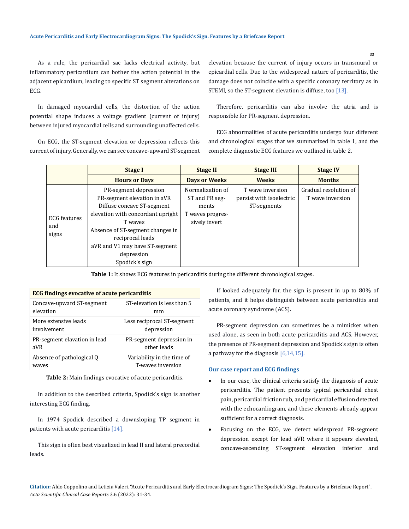As a rule, the pericardial sac lacks electrical activity, but inflammatory pericardium can bother the action potential in the adjacent epicardium, leading to specific ST segment alterations on ECG.

In damaged myocardial cells, the distortion of the action potential shape induces a voltage gradient (current of injury) between injured myocardial cells and surrounding unaffected cells.

On ECG, the ST-segment elevation or depression reflects this current of injury. Generally, we can see concave-upward ST-segment elevation because the current of injury occurs in transmural or epicardial cells. Due to the widespread nature of pericarditis, the damage does not coincide with a specific coronary territory as in STEMI, so the ST-segment elevation is diffuse, too [13].

Therefore, pericarditis can also involve the atria and is responsible for PR-segment depression.

ECG abnormalities of acute pericarditis undergo four different and chronological stages that we summarized in table 1, and the complete diagnostic ECG features we outlined in table 2.

|                                     | <b>Stage I</b>                                                                                                                                                                                                                                               | <b>Stage II</b>                                                                  | <b>Stage III</b>                                            | <b>Stage IV</b>                           |
|-------------------------------------|--------------------------------------------------------------------------------------------------------------------------------------------------------------------------------------------------------------------------------------------------------------|----------------------------------------------------------------------------------|-------------------------------------------------------------|-------------------------------------------|
|                                     | <b>Hours or Days</b>                                                                                                                                                                                                                                         | <b>Days or Weeks</b>                                                             | <b>Weeks</b>                                                | <b>Months</b>                             |
| <b>ECG</b> features<br>and<br>signs | PR-segment depression<br>PR-segment elevation in aVR<br>Diffuse concave ST-segment<br>elevation with concordant upright<br>T waves<br>Absence of ST-segment changes in<br>reciprocal leads<br>aVR and V1 may have ST-segment<br>depression<br>Spodick's sign | Normalization of<br>ST and PR seg-<br>ments<br>T waves progres-<br>sively invert | T wave inversion<br>persist with isoelectric<br>ST-segments | Gradual resolution of<br>T wave inversion |

**Table 1:** It shows ECG features in pericarditis during the different chronological stages.

| ECG findings evocative of acute pericarditis |                             |  |  |  |
|----------------------------------------------|-----------------------------|--|--|--|
| Concave-upward ST-segment                    | ST-elevation is less than 5 |  |  |  |
| elevation                                    | mm                          |  |  |  |
| More extensive leads                         | Less reciprocal ST-segment  |  |  |  |
| involvement                                  | depression                  |  |  |  |
| PR-segment elavation in lead                 | PR-segment depression in    |  |  |  |
| aVR                                          | other leads                 |  |  |  |
| Absence of pathological Q                    | Variability in the time of  |  |  |  |
| wayes                                        | T-waves inversion           |  |  |  |

**Table 2:** Main findings evocative of acute pericarditis.

In addition to the described criteria, Spodick's sign is another interesting ECG finding.

In 1974 Spodick described a downsloping TP segment in patients with acute pericarditis [14].

This sign is often best visualized in lead II and lateral precordial leads.

If looked adequately for, the sign is present in up to 80% of patients, and it helps distinguish between acute pericarditis and acute coronary syndrome (ACS).

PR-segment depression can sometimes be a mimicker when used alone, as seen in both acute pericarditis and ACS. However, the presence of PR-segment depression and Spodick's sign is often a pathway for the diagnosis  $[6,14,15]$ .

#### **Our case report and ECG findings**

- In our case, the clinical criteria satisfy the diagnosis of acute pericarditis. The patient presents typical pericardial chest pain, pericardial friction rub, and pericardial effusion detected with the echocardiogram, and these elements already appear sufficient for a correct diagnosis.
- Focusing on the ECG, we detect widespread PR-segment depression except for lead aVR where it appears elevated, concave-ascending ST-segment elevation inferior and

**Citation:** Aldo Coppolino and Letizia Valeri*.* "Acute Pericarditis and Early Electrocardiogram Signs: The Spodick's Sign. Features by a Briefcase Report". *Acta Scientific Clinical Case Reports* 3.6 (2022): 31-34.

33